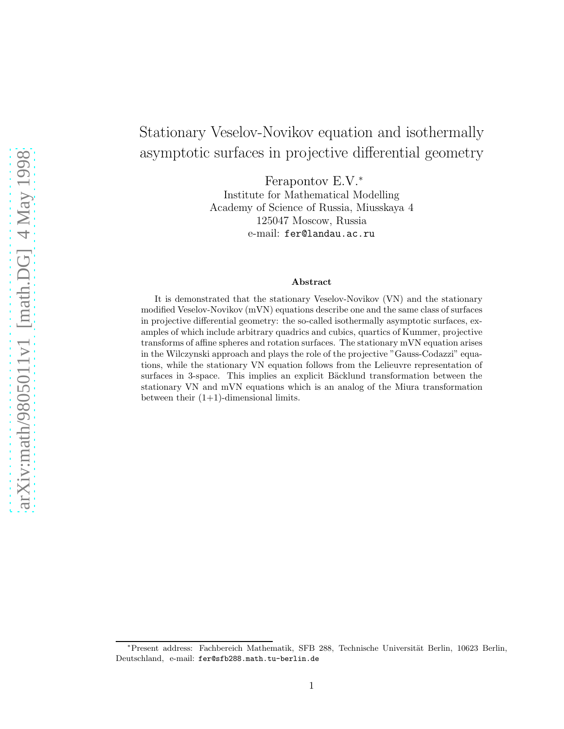# Stationary Veselov-Novikov equation and isothermally asymptotic surfaces in projective differential geometry

Ferapontov E.V.<sup>∗</sup>

Institute for Mathematical Modelling Academy of Science of Russia, Miusskaya 4 125047 Moscow, Russia e-mail: fer@landau.ac.ru

#### Abstract

It is demonstrated that the stationary Veselov-Novikov (VN) and the stationary modified Veselov-Novikov (mVN) equations describe one and the same class of surfaces in projective differential geometry: the so-called isothermally asymptotic surfaces, examples of which include arbitrary quadrics and cubics, quartics of Kummer, projective transforms of affine spheres and rotation surfaces. The stationary mVN equation arises in the Wilczynski approach and plays the role of the projective "Gauss-Codazzi" equations, while the stationary VN equation follows from the Lelieuvre representation of surfaces in 3-space. This implies an explicit Bäcklund transformation between the stationary VN and mVN equations which is an analog of the Miura transformation between their  $(1+1)$ -dimensional limits.

<sup>\*</sup>Present address: Fachbereich Mathematik, SFB 288, Technische Universität Berlin, 10623 Berlin, Deutschland, e-mail: fer@sfb288.math.tu-berlin.de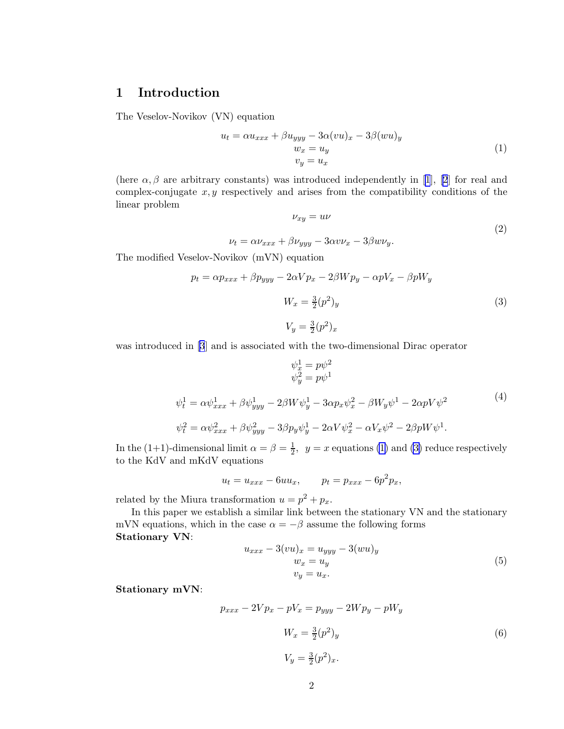## <span id="page-1-0"></span>1 Introduction

The Veselov-Novikov (VN) equation

$$
u_t = \alpha u_{xxx} + \beta u_{yyy} - 3\alpha (vu)_x - 3\beta (wu)_y
$$
  
\n
$$
w_x = u_y
$$
  
\n
$$
v_y = u_x
$$
\n(1)

(here $\alpha, \beta$  are arbitrary constants) was introduced independently in [[1](#page-11-0)], [\[2](#page-11-0)] for real and complex-conjugate  $x, y$  respectively and arises from the compatibility conditions of the linear problem

$$
\nu_{xy} = u\nu \tag{2}
$$

$$
\nu_t = \alpha \nu_{xxx} + \beta \nu_{yyy} - 3\alpha v \nu_x - 3\beta w \nu_y.
$$

The modified Veselov-Novikov (mVN) equation

$$
p_t = \alpha p_{xxx} + \beta p_{yyy} - 2\alpha V p_x - 2\beta W p_y - \alpha p V_x - \beta p W_y
$$

$$
W_x = \frac{3}{2} (p^2)_y
$$

$$
V_y = \frac{3}{2} (p^2)_x
$$

$$
(3)
$$

was introduced in [\[3](#page-11-0)] and is associated with the two-dimensional Dirac operator

$$
\psi_x^1 = p\psi^2 \n\psi_y^2 = p\psi^1 \n\psi_t^1 = \alpha \psi_{xxx}^1 + \beta \psi_{yyy}^1 - 2\beta W \psi_y^1 - 3\alpha p_x \psi_x^2 - \beta W_y \psi^1 - 2\alpha p V \psi^2 \n\psi_t^2 = \alpha \psi_{xxx}^2 + \beta \psi_{yyy}^2 - 3\beta p_y \psi_y^1 - 2\alpha V \psi_x^2 - \alpha V_x \psi^2 - 2\beta p W \psi^1.
$$
\n(4)

In the (1+1)-dimensional limit  $\alpha = \beta = \frac{1}{2}$  $\frac{1}{2}$ ,  $y = x$  equations (1) and (3) reduce respectively to the KdV and mKdV equations

$$
u_t = u_{xxx} - 6uu_x, \qquad p_t = p_{xxx} - 6p^2p_x,
$$

related by the Miura transformation  $u = p^2 + p_x$ .

In this paper we establish a similar link between the stationary VN and the stationary mVN equations, which in the case  $\alpha = -\beta$  assume the following forms Stationary VN:

$$
u_{xxx} - 3(vu)_x = u_{yyy} - 3(wu)_y
$$
  
\n
$$
w_x = u_y
$$
  
\n
$$
v_y = u_x.
$$
\n(5)

Stationary mVN:

$$
p_{xxx} - 2Vp_x - pV_x = p_{yyy} - 2Wp_y - pW_y
$$

$$
W_x = \frac{3}{2}(p^2)_y
$$

$$
V_y = \frac{3}{2}(p^2)_x.
$$

$$
(6)
$$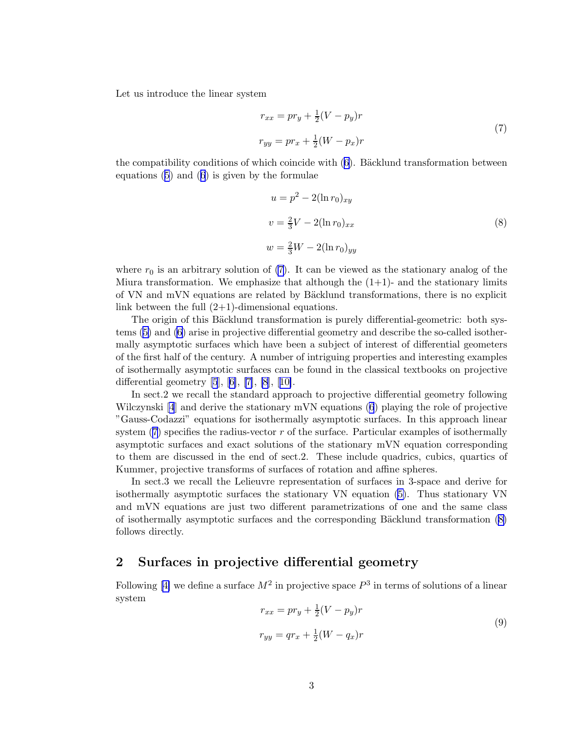<span id="page-2-0"></span>Let us introduce the linear system

$$
r_{xx} = pr_y + \frac{1}{2}(V - p_y)r
$$
  
\n
$$
r_{yy} = pr_x + \frac{1}{2}(W - p_x)r
$$
\n(7)

thecompatibility conditions of which coincide with  $(6)$  $(6)$  $(6)$ . Bäcklund transformation between equations([5](#page-1-0)) and([6](#page-1-0)) is given by the formulae

$$
u = p2 - 2(\ln r0)xy
$$
  

$$
v = \frac{2}{3}V - 2(\ln r0)xx
$$
  

$$
w = \frac{2}{3}W - 2(\ln r0)yy
$$
 (8)

where  $r_0$  is an arbitrary solution of (7). It can be viewed as the stationary analog of the Miura transformation. We emphasize that although the  $(1+1)$ - and the stationary limits of VN and mVN equations are related by Bäcklund transformations, there is no explicit link between the full  $(2+1)$ -dimensional equations.

The origin of this Bäcklund transformation is purely differential-geometric: both systems [\(5\)](#page-1-0) and [\(6\)](#page-1-0) arise in projective differential geometry and describe the so-called isothermally asymptotic surfaces which have been a subject of interest of differential geometers of the first half of the century. A number of intriguing properties and interesting examples of isothermally asymptotic surfaces can be found in the classical textbooks on projective differentialgeometry  $[5]$ ,  $[6]$ ,  $[7]$ ,  $[8]$ ,  $[10]$  $[10]$ .

In sect.2 we recall the standard approach to projective differential geometry following Wilczynski [\[4](#page-11-0)] and derive the stationary mVN equations [\(6](#page-1-0)) playing the role of projective "Gauss-Codazzi" equations for isothermally asymptotic surfaces. In this approach linear system (7) specifies the radius-vector r of the surface. Particular examples of isothermally asymptotic surfaces and exact solutions of the stationary mVN equation corresponding to them are discussed in the end of sect.2. These include quadrics, cubics, quartics of Kummer, projective transforms of surfaces of rotation and affine spheres.

In sect.3 we recall the Lelieuvre representation of surfaces in 3-space and derive for isothermally asymptotic surfaces the stationary VN equation [\(5\)](#page-1-0). Thus stationary VN and mVN equations are just two different parametrizations of one and the same class of isothermally asymptotic surfaces and the corresponding Bäcklund transformation  $(8)$ follows directly.

#### 2 Surfaces in projective differential geometry

Following [\[4\]](#page-11-0) we define a surface  $M^2$  in projective space  $P^3$  in terms of solutions of a linear system

$$
r_{xx} = pr_y + \frac{1}{2}(V - p_y)r
$$
  
\n
$$
r_{yy} = qr_x + \frac{1}{2}(W - q_x)r
$$
\n(9)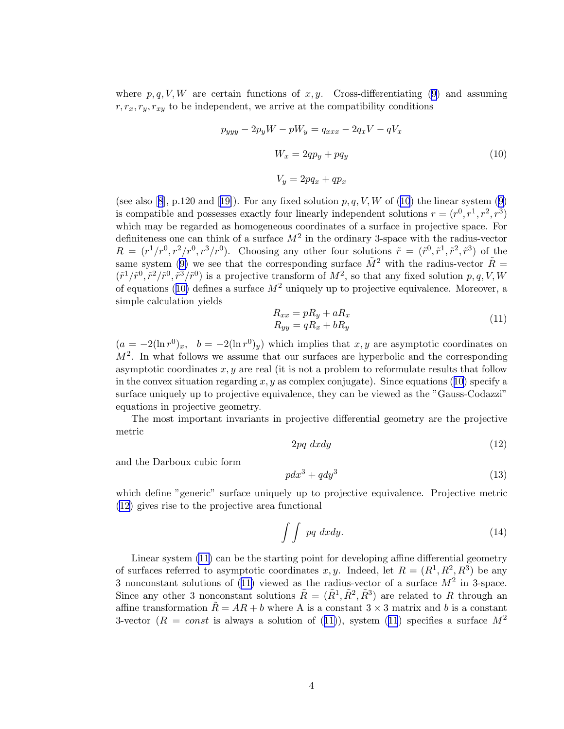<span id="page-3-0"></span>where $p, q, V, W$  are certain functions of x, y. Cross-differentiating ([9\)](#page-2-0) and assuming  $r, r_x, r_y, r_{xy}$  to be independent, we arrive at the compatibility conditions

$$
p_{yyy} - 2p_y W - pW_y = q_{xxx} - 2q_x V - qV_x
$$
  

$$
W_x = 2qp_y + pq_y
$$
  

$$
V_y = 2pq_x + qp_x
$$
 (10)

(seealso [[8](#page-12-0)], p.120 and [\[19\]](#page-12-0)). For any fixed solution  $p, q, V, W$  of (10) the linear system [\(9\)](#page-2-0) is compatible and possesses exactly four linearly independent solutions  $r = (r^0, r^1, r^2, r^3)$ which may be regarded as homogeneous coordinates of a surface in projective space. For definiteness one can think of a surface  $M^2$  in the ordinary 3-space with the radius-vector  $R = (r^1/r^0, r^2/r^0, r^3/r^0)$ . Choosing any other four solutions  $\tilde{r} = (\tilde{r}^0, \tilde{r}^1, \tilde{r}^2, \tilde{r}^3)$  of the same system [\(9\)](#page-2-0) we see that the corresponding surface  $\tilde{M}^2$  with the radius-vector  $\tilde{R} =$  $(\tilde{r}^1/\tilde{r}^0, \tilde{r}^2/\tilde{r}^0, \tilde{r}^3/\tilde{r}^0)$  is a projective transform of  $M^2$ , so that any fixed solution  $p, q, V, W$ of equations (10) defines a surface  $M^2$  uniquely up to projective equivalence. Moreover, a simple calculation yields

$$
R_{xx} = pR_y + aR_x
$$
  
\n
$$
R_{yy} = qR_x + bR_y
$$
\n(11)

 $(a = -2(\ln r^0)_x, b = -2(\ln r^0)_y)$  which implies that  $x, y$  are asymptotic coordinates on  $M<sup>2</sup>$ . In what follows we assume that our surfaces are hyperbolic and the corresponding asymptotic coordinates  $x, y$  are real (it is not a problem to reformulate results that follow in the convex situation regarding x, y as complex conjugate). Since equations (10) specify a surface uniquely up to projective equivalence, they can be viewed as the "Gauss-Codazzi" equations in projective geometry.

The most important invariants in projective differential geometry are the projective metric

$$
2pq \; dx dy \tag{12}
$$

and the Darboux cubic form

$$
pdx^3 + qdy^3 \tag{13}
$$

which define "generic" surface uniquely up to projective equivalence. Projective metric (12) gives rise to the projective area functional

$$
\int \int pq \, dxdy. \tag{14}
$$

Linear system (11) can be the starting point for developing affine differential geometry of surfaces referred to asymptotic coordinates x, y. Indeed, let  $R = (R^1, R^2, R^3)$  be any 3 nonconstant solutions of (11) viewed as the radius-vector of a surface  $M^2$  in 3-space. Since any other 3 nonconstant solutions  $\tilde{R} = (\tilde{R}^1, \tilde{R}^2, \tilde{R}^3)$  are related to R through an affine transformation  $\ddot{R} = AR + b$  where A is a constant  $3 \times 3$  matrix and b is a constant 3-vector ( $R = const$  is always a solution of (11)), system (11) specifies a surface  $M^2$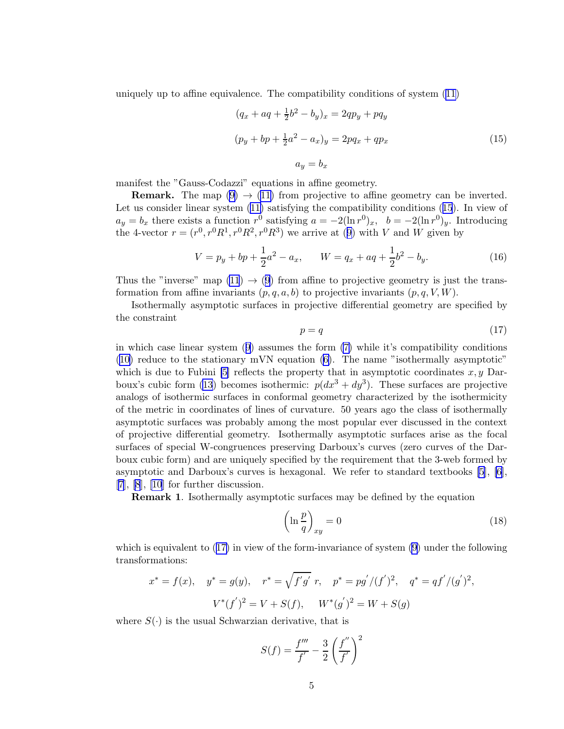<span id="page-4-0"></span>uniquely up to affine equivalence. The compatibility conditions of system [\(11\)](#page-3-0)

$$
(q_x + aq + \frac{1}{2}b^2 - b_y)_x = 2qp_y + pq_y
$$
  

$$
(p_y + bp + \frac{1}{2}a^2 - a_x)_y = 2pq_x + qp_x
$$
  

$$
a_y = b_x
$$
 (15)

manifest the "Gauss-Codazzi" equations in affine geometry.

**Remark.** The map  $(9) \rightarrow (11)$  $(9) \rightarrow (11)$  from projective to affine geometry can be inverted. Let us consider linear system([11\)](#page-3-0) satisfying the compatibility conditions (15). In view of  $a_y = b_x$  there exists a function  $r^0$  satisfying  $a = -2(\ln r^0)_x$ ,  $b = -2(\ln r^0)_y$ . Introducing the4-vector  $r = (r^0, r^0 R^1, r^0 R^2, r^0 R^3)$  we arrive at ([9\)](#page-2-0) with V and W given by

$$
V = p_y + bp + \frac{1}{2}a^2 - a_x, \qquad W = q_x + aq + \frac{1}{2}b^2 - b_y.
$$
 (16)

Thus the "inverse" map  $(11) \rightarrow (9)$  $(11) \rightarrow (9)$  $(11) \rightarrow (9)$  from affine to projective geometry is just the transformation from affine invariants  $(p, q, a, b)$  to projective invariants  $(p, q, V, W)$ .

Isothermally asymptotic surfaces in projective differential geometry are specified by the constraint

$$
p = q \tag{17}
$$

in which case linear system([9](#page-2-0)) assumes the form [\(7\)](#page-2-0) while it's compatibility conditions ([10\)](#page-3-0) reduce to the stationary mVN equation [\(6\)](#page-1-0). The name "isothermally asymptotic" which is due to Fubini [\[5\]](#page-11-0) reflects the property that in asymptotic coordinates  $x, y$  Dar-boux's cubic form [\(13](#page-3-0)) becomes isothermic:  $p(dx^3 + dy^3)$ . These surfaces are projective analogs of isothermic surfaces in conformal geometry characterized by the isothermicity of the metric in coordinates of lines of curvature. 50 years ago the class of isothermally asymptotic surfaces was probably among the most popular ever discussed in the context of projective differential geometry. Isothermally asymptotic surfaces arise as the focal surfaces of special W-congruences preserving Darboux's curves (zero curves of the Darboux cubic form) and are uniquely specified by the requirement that the 3-web formed by asymptotic and Darboux's curves is hexagonal. We refer to standard textbooks [\[5\]](#page-11-0), [\[6\]](#page-11-0),  $[7], [8], [10]$  $[7], [8], [10]$  $[7], [8], [10]$  $[7], [8], [10]$  $[7], [8], [10]$  $[7], [8], [10]$  $[7], [8], [10]$  for further discussion.

Remark 1. Isothermally asymptotic surfaces may be defined by the equation

$$
\left(\ln\frac{p}{q}\right)_{xy} = 0\tag{18}
$$

which is equivalent to (17) in view of the form-invariance of system [\(9\)](#page-2-0) under the following transformations:

$$
x^* = f(x)
$$
,  $y^* = g(y)$ ,  $r^* = \sqrt{f'g' r}$ ,  $p^* = pg'/(f')^2$ ,  $q^* = qf'/(g')^2$ ,  
 $V^*(f')^2 = V + S(f)$ ,  $W^*(g')^2 = W + S(g)$ 

where  $S(\cdot)$  is the usual Schwarzian derivative, that is

$$
S(f) = \frac{f'''}{f'} - \frac{3}{2} \left(\frac{f''}{f'}\right)^2
$$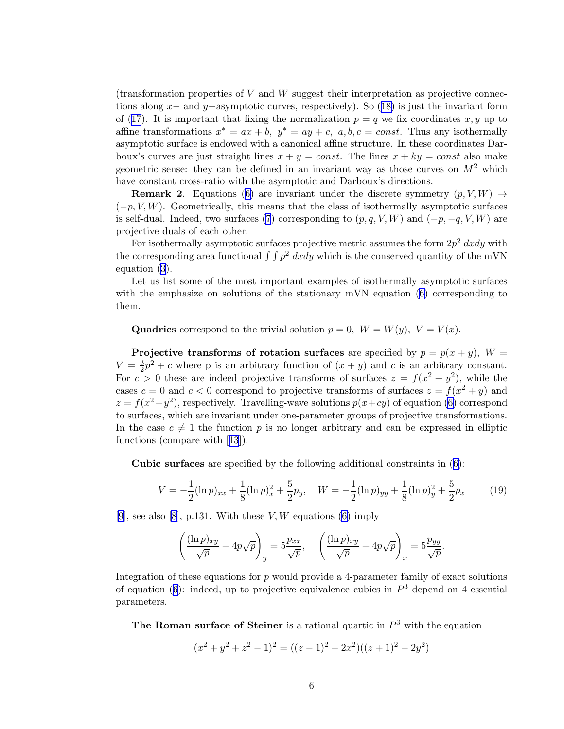<span id="page-5-0"></span> $(transformation$  properties of  $V$  and  $W$  suggest their interpretation as projective connec-tionsalong x– and y–asymptotic curves, respectively). So ([18\)](#page-4-0) is just the invariant form of([17](#page-4-0)). It is important that fixing the normalization  $p = q$  we fix coordinates x, y up to affine transformations  $x^* = ax + b$ ,  $y^* = ay + c$ ,  $a, b, c = const$ . Thus any isothermally asymptotic surface is endowed with a canonical affine structure. In these coordinates Darboux's curves are just straight lines  $x + y = const$ . The lines  $x + ky = const$  also make geometric sense: they can be defined in an invariant way as those curves on  $M^2$  which have constant cross-ratio with the asymptotic and Darboux's directions.

**Remark 2.** Equations [\(6\)](#page-1-0) are invariant under the discrete symmetry  $(p, V, W) \rightarrow$  $(-p, V, W)$ . Geometrically, this means that the class of isothermally asymptotic surfaces isself-dual. Indeed, two surfaces ([7](#page-2-0)) corresponding to  $(p, q, V, W)$  and  $(-p, -q, V, W)$  are projective duals of each other.

For isothermally asymptotic surfaces projective metric assumes the form  $2p^2$  dxdy with the corresponding area functional  $\int \int p^2 dx dy$  which is the conserved quantity of the mVN equation([3\)](#page-1-0).

Let us list some of the most important examples of isothermally asymptotic surfaces with the emphasize on solutions of the stationary mVN equation [\(6\)](#page-1-0) corresponding to them.

Quadrics correspond to the trivial solution  $p = 0$ ,  $W = W(y)$ ,  $V = V(x)$ .

Projective transforms of rotation surfaces are specified by  $p = p(x + y)$ ,  $W =$  $V=\frac{3}{2}$  $\frac{3}{2}p^2 + c$  where p is an arbitrary function of  $(x + y)$  and c is an arbitrary constant. For  $c > 0$  these are indeed projective transforms of surfaces  $z = f(x^2 + y^2)$ , while the cases  $c = 0$  and  $c < 0$  correspond to projective transforms of surfaces  $z = f(x^2 + y)$  and  $z = f(x^2 - y^2)$ , respectively. Travelling-wave solutions  $p(x+cy)$  of equation [\(6\)](#page-1-0) correspond to surfaces, which are invariant under one-parameter groups of projective transformations. In the case  $c \neq 1$  the function p is no longer arbitrary and can be expressed in elliptic functions (compare with[[13](#page-12-0)]).

Cubic surfaces are specified by the following additional constraints in [\(6\)](#page-1-0):

$$
V = -\frac{1}{2}(\ln p)_{xx} + \frac{1}{8}(\ln p)_{x}^{2} + \frac{5}{2}p_{y}, \quad W = -\frac{1}{2}(\ln p)_{yy} + \frac{1}{8}(\ln p)_{y}^{2} + \frac{5}{2}p_{x}
$$
(19)

[[9](#page-12-0)], see also [\[8\]](#page-12-0), p.131. With these  $V, W$  equations [\(6\)](#page-1-0) imply

$$
\left(\frac{(\ln p)_{xy}}{\sqrt{p}} + 4p\sqrt{p}\right)_y = 5\frac{p_{xx}}{\sqrt{p}}, \quad \left(\frac{(\ln p)_{xy}}{\sqrt{p}} + 4p\sqrt{p}\right)_x = 5\frac{p_{yy}}{\sqrt{p}}.
$$

Integration of these equations for  $p$  would provide a 4-parameter family of exact solutions ofequation ([6](#page-1-0)): indeed, up to projective equivalence cubics in  $P<sup>3</sup>$  depend on 4 essential parameters.

The Roman surface of Steiner is a rational quartic in  $P<sup>3</sup>$  with the equation

$$
(x2 + y2 + z2 - 1)2 = ((z - 1)2 – 2x2)((z + 1)2 – 2y2)
$$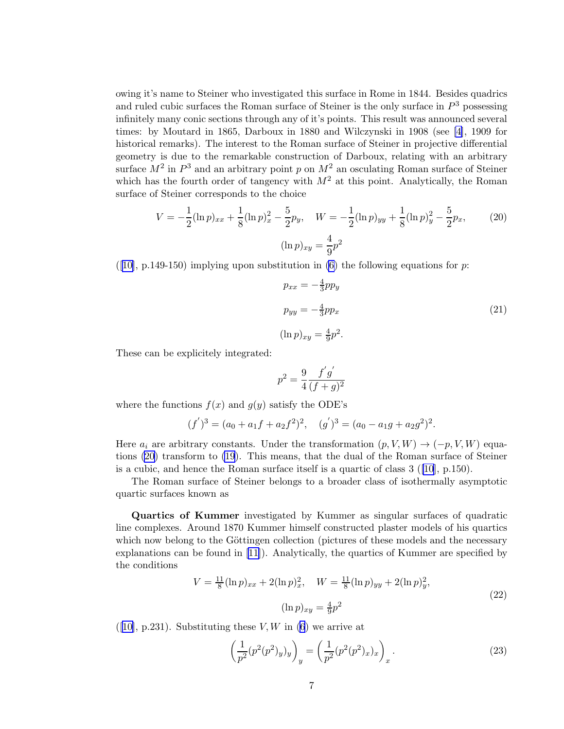<span id="page-6-0"></span>owing it's name to Steiner who investigated this surface in Rome in 1844. Besides quadrics and ruled cubic surfaces the Roman surface of Steiner is the only surface in  $P<sup>3</sup>$  possessing infinitely many conic sections through any of it's points. This result was announced several times: by Moutard in 1865, Darboux in 1880 and Wilczynski in 1908 (see [\[4](#page-11-0)], 1909 for historical remarks). The interest to the Roman surface of Steiner in projective differential geometry is due to the remarkable construction of Darboux, relating with an arbitrary surface  $M^2$  in  $P^3$  and an arbitrary point p on  $M^2$  an osculating Roman surface of Steiner which has the fourth order of tangency with  $M^2$  at this point. Analytically, the Roman surface of Steiner corresponds to the choice

$$
V = -\frac{1}{2} (\ln p)_{xx} + \frac{1}{8} (\ln p)_{x}^{2} - \frac{5}{2} p_{y}, \quad W = -\frac{1}{2} (\ln p)_{yy} + \frac{1}{8} (\ln p)_{y}^{2} - \frac{5}{2} p_{x}, \tag{20}
$$

$$
(\ln p)_{xy} = \frac{4}{9} p^{2}
$$

([[10\]](#page-12-0), p.149-150) implying upon substitution in [\(6\)](#page-1-0) the following equations for  $p$ :

$$
p_{xx} = -\frac{4}{3}pp_y
$$
  
\n
$$
p_{yy} = -\frac{4}{3}pp_x
$$
  
\n
$$
(\ln p)_{xy} = \frac{4}{9}p^2.
$$
\n(21)

These can be explicitely integrated:

$$
p^2 = \frac{9}{4} \frac{f'g'}{(f+g)^2}
$$

where the functions  $f(x)$  and  $g(y)$  satisfy the ODE's

$$
(f')^3 = (a_0 + a_1f + a_2f^2)^2
$$
,  $(g')^3 = (a_0 - a_1g + a_2g^2)^2$ .

Here  $a_i$  are arbitrary constants. Under the transformation  $(p, V, W) \rightarrow (-p, V, W)$  equations (20) transform to [\(19](#page-5-0)). This means, that the dual of the Roman surface of Steiner is a cubic, and hence the Roman surface itself is a quartic of class  $3$  ([\[10](#page-12-0)], p.150).

The Roman surface of Steiner belongs to a broader class of isothermally asymptotic quartic surfaces known as

Quartics of Kummer investigated by Kummer as singular surfaces of quadratic line complexes. Around 1870 Kummer himself constructed plaster models of his quartics which now belong to the Göttingen collection (pictures of these models and the necessary explanations can be found in[[11\]](#page-12-0)). Analytically, the quartics of Kummer are specified by the conditions

$$
V = \frac{11}{8} (\ln p)_{xx} + 2(\ln p)_x^2, \quad W = \frac{11}{8} (\ln p)_{yy} + 2(\ln p)_y^2,
$$
  

$$
(\ln p)_{xy} = \frac{4}{9} p^2
$$
 (22)

 $([10], p.231)$  $([10], p.231)$  $([10], p.231)$  $([10], p.231)$  $([10], p.231)$ . Substituting these V, W in  $(6)$  $(6)$  $(6)$  we arrive at

$$
\left(\frac{1}{p^2}(p^2(p^2)_y)_y\right)_y = \left(\frac{1}{p^2}(p^2(p^2)_x)_x\right)_x.
$$
\n(23)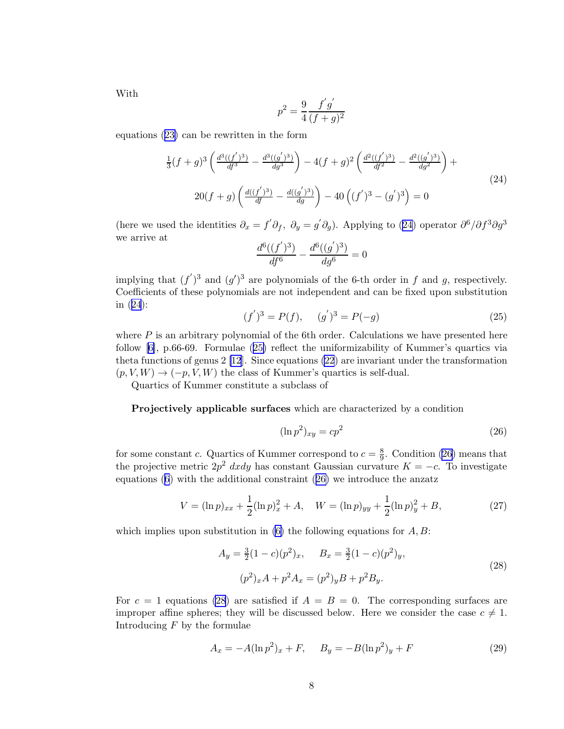<span id="page-7-0"></span>With

$$
p^2 = \frac{9}{4} \frac{f'g'}{(f+g)^2}
$$

equations([23\)](#page-6-0) can be rewritten in the form

$$
\frac{1}{3}(f+g)^3 \left(\frac{d^3((f')^3)}{df^3} - \frac{d^3((g')^3)}{dg^3}\right) - 4(f+g)^2 \left(\frac{d^2((f')^3)}{df^2} - \frac{d^2((g')^3)}{dg^2}\right) +
$$
\n
$$
20(f+g) \left(\frac{d((f')^3)}{df} - \frac{d((g')^3)}{dg}\right) - 40\left((f')^3 - (g')^3\right) = 0
$$
\n(24)

(here we used the identities  $\partial_x = f' \partial_f$ ,  $\partial_y = g' \partial_g$ ). Applying to (24) operator  $\partial^6 / \partial f^3 \partial g^3$ we arrive at ′ ′

$$
\frac{d^6((f')^3)}{df^6} - \frac{d^6((g')^3)}{dg^6} = 0
$$

implying that  $(f')^3$  and  $(g')^3$  are polynomials of the 6-th order in f and g, respectively. Coefficients of these polynomials are not independent and can be fixed upon substitution in (24):

$$
(f')3 = P(f), \t(g')3 = P(-g)
$$
\t(25)

where  $P$  is an arbitrary polynomial of the 6th order. Calculations we have presented here follow [\[6\]](#page-11-0), p.66-69. Formulae (25) reflect the uniformizability of Kummer's quartics via theta functions of genus 2 [\[12](#page-12-0)]. Since equations [\(22](#page-6-0)) are invariant under the transformation  $(p, V, W) \rightarrow (-p, V, W)$  the class of Kummer's quartics is self-dual.

Quartics of Kummer constitute a subclass of

Projectively applicable surfaces which are characterized by a condition

$$
(\ln p^2)_{xy} = cp^2 \tag{26}
$$

for some constant c. Quartics of Kummer correspond to  $c = \frac{8}{9}$  $\frac{8}{9}$ . Condition (26) means that the projective metric  $2p^2$  dxdy has constant Gaussian curvature  $K = -c$ . To investigate equations $(6)$  $(6)$  $(6)$  with the additional constraint  $(26)$  we introduce the anzatz

$$
V = (\ln p)_{xx} + \frac{1}{2} (\ln p)_x^2 + A, \quad W = (\ln p)_{yy} + \frac{1}{2} (\ln p)_y^2 + B,\tag{27}
$$

which implies upon substitution in  $(6)$  the following equations for  $A, B$ :

$$
A_y = \frac{3}{2}(1-c)(p^2)_x, \qquad B_x = \frac{3}{2}(1-c)(p^2)_y,
$$
  

$$
(p^2)_x A + p^2 A_x = (p^2)_y B + p^2 B_y.
$$
 (28)

For  $c = 1$  equations (28) are satisfied if  $A = B = 0$ . The corresponding surfaces are improper affine spheres; they will be discussed below. Here we consider the case  $c \neq 1$ . Introducing  $F$  by the formulae

$$
A_x = -A(\ln p^2)_x + F, \quad B_y = -B(\ln p^2)_y + F \tag{29}
$$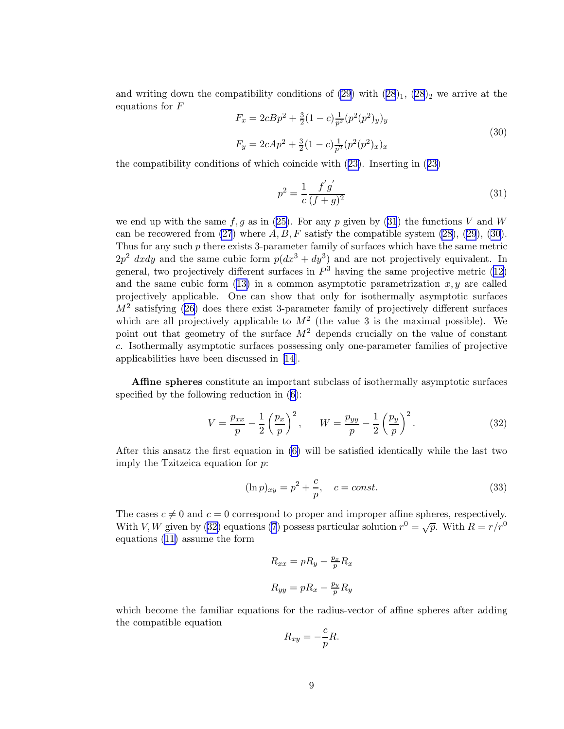<span id="page-8-0"></span>and writing down the compatibility conditions of  $(29)$  with  $(28)_1$ ,  $(28)_2$  we arrive at the equations for F

$$
F_x = 2cBp^2 + \frac{3}{2}(1-c)\frac{1}{p^2}(p^2(p^2)y)_y
$$
  
\n
$$
F_y = 2cAp^2 + \frac{3}{2}(1-c)\frac{1}{p^2}(p^2(p^2)x)_x
$$
\n(30)

the compatibility conditions of which coincide with([23\)](#page-6-0). Inserting in([23\)](#page-6-0)

$$
p^2 = \frac{1}{c} \frac{f'g'}{(f+g)^2} \tag{31}
$$

we end up with the same  $f, g$  as in [\(25\)](#page-7-0). For any p given by (31) the functions V and W canbe recowered from  $(27)$  where  $A, B, F$  satisfy the compatible system  $(28)$ ,  $(29)$  $(29)$  $(29)$ ,  $(30)$ . Thus for any such p there exists 3-parameter family of surfaces which have the same metric  $2p^2$  dxdy and the same cubic form  $p(dx^3 + dy^3)$  and are not projectively equivalent. In general,two projectively different surfaces in  $P<sup>3</sup>$  having the same projective metric ([12\)](#page-3-0) andthe same cubic form  $(13)$  $(13)$  in a common asymptotic parametrization  $x, y$  are called projectively applicable. One can show that only for isothermally asymptotic surfaces  $M<sup>2</sup>$  satisfying [\(26](#page-7-0)) does there exist 3-parameter family of projectively different surfaces which are all projectively applicable to  $M^2$  (the value 3 is the maximal possible). We point out that geometry of the surface  $M^2$  depends crucially on the value of constant c. Isothermally asymptotic surfaces possessing only one-parameter families of projective applicabilities have been discussed in [\[14](#page-12-0)].

Affine spheres constitute an important subclass of isothermally asymptotic surfaces specified by the following reduction in [\(6\)](#page-1-0):

$$
V = \frac{p_{xx}}{p} - \frac{1}{2} \left(\frac{p_x}{p}\right)^2, \qquad W = \frac{p_{yy}}{p} - \frac{1}{2} \left(\frac{p_y}{p}\right)^2.
$$
 (32)

After this ansatz the first equation in [\(6\)](#page-1-0) will be satisfied identically while the last two imply the Tzitzeica equation for p:

$$
(\ln p)_{xy} = p^2 + \frac{c}{p}, \quad c = const.
$$
\n(33)

The cases  $c \neq 0$  and  $c = 0$  correspond to proper and improper affine spheres, respectively. With V, W given by (32) equations [\(7](#page-2-0)) possess particular solution  $r^0 = \sqrt{p}$ . With  $R = r/r^0$ equations([11\)](#page-3-0) assume the form

$$
R_{xx} = pR_y - \frac{p_x}{p}R_x
$$

$$
R_{yy} = pR_x - \frac{p_y}{p}R_y
$$

which become the familiar equations for the radius-vector of affine spheres after adding the compatible equation

$$
R_{xy} = -\frac{c}{p}R.
$$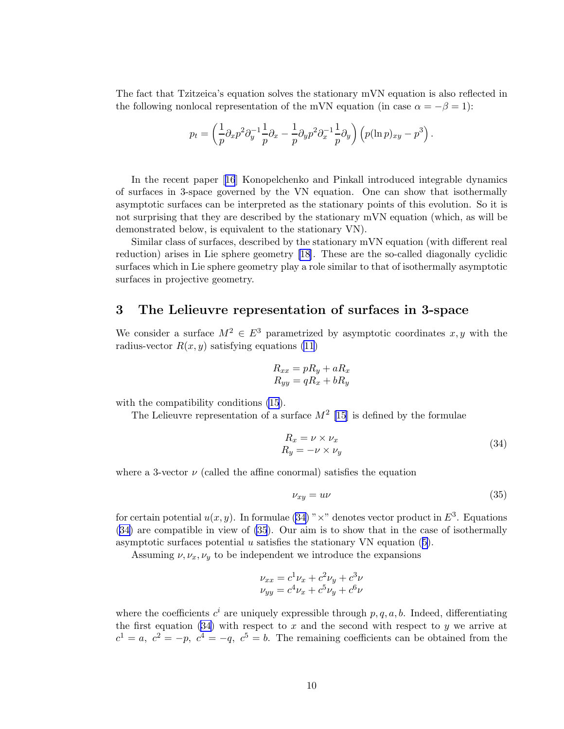The fact that Tzitzeica's equation solves the stationary mVN equation is also reflected in the following nonlocal representation of the mVN equation (in case  $\alpha = -\beta = 1$ ):

$$
p_t = \left(\frac{1}{p}\partial_x p^2 \partial_y^{-1} \frac{1}{p} \partial_x - \frac{1}{p} \partial_y p^2 \partial_x^{-1} \frac{1}{p} \partial_y\right) \left(p(\ln p)_{xy} - p^3\right).
$$

In the recent paper[[16](#page-12-0)] Konopelchenko and Pinkall introduced integrable dynamics of surfaces in 3-space governed by the VN equation. One can show that isothermally asymptotic surfaces can be interpreted as the stationary points of this evolution. So it is not surprising that they are described by the stationary mVN equation (which, as will be demonstrated below, is equivalent to the stationary VN).

Similar class of surfaces, described by the stationary mVN equation (with different real reduction) arises in Lie sphere geometry[[18\]](#page-12-0). These are the so-called diagonally cyclidic surfaces which in Lie sphere geometry play a role similar to that of isothermally asymptotic surfaces in projective geometry.

### 3 The Lelieuvre representation of surfaces in 3-space

We consider a surface  $M^2 \in E^3$  parametrized by asymptotic coordinates x, y with the radius-vector  $R(x, y)$  satisfying equations [\(11](#page-3-0))

$$
R_{xx} = pR_y + aR_x
$$
  

$$
R_{yy} = qR_x + bR_y
$$

with the compatibility conditions [\(15](#page-4-0)).

The Lelieuvre representation of a surface  $M^2$  [\[15\]](#page-12-0) is defined by the formulae

$$
R_x = \nu \times \nu_x
$$
  
\n
$$
R_y = -\nu \times \nu_y
$$
\n(34)

where a 3-vector  $\nu$  (called the affine conormal) satisfies the equation

$$
\nu_{xy} = u\nu \tag{35}
$$

for certain potential  $u(x, y)$ . In formulae (34) " $\times$ " denotes vector product in  $E^3$ . Equations (34) are compatible in view of (35). Our aim is to show that in the case of isothermally asymptoticsurfaces potential  $u$  satisfies the stationary VN equation  $(5)$  $(5)$ .

Assuming  $\nu, \nu_x, \nu_y$  to be independent we introduce the expansions

$$
\nu_{xx} = c^1 \nu_x + c^2 \nu_y + c^3 \nu
$$
  

$$
\nu_{yy} = c^4 \nu_x + c^5 \nu_y + c^6 \nu
$$

where the coefficients  $c^i$  are uniquely expressible through  $p, q, a, b$ . Indeed, differentiating the first equation (34) with respect to x and the second with respect to y we arrive at  $c^1 = a, c^2 = -p, c^4 = -q, c^5 = b.$  The remaining coefficients can be obtained from the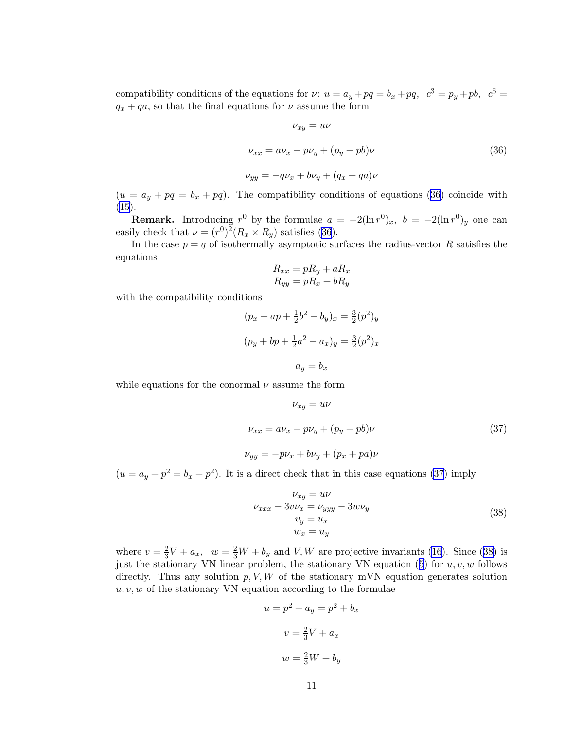compatibility conditions of the equations for  $\nu: u = a_y + pq = b_x + pq$ ,  $c^3 = p_y + pb$ ,  $c^6 =$  $q_x + qa$ , so that the final equations for  $\nu$  assume the form

$$
\nu_{xy} = u\nu
$$
  

$$
\nu_{xx} = a\nu_x - p\nu_y + (p_y + pb)\nu
$$
  

$$
\nu_{yy} = -q\nu_x + b\nu_y + (q_x + qa)\nu
$$
  
(36)

 $(u = a_y + pq = b_x + pq)$ . The compatibility conditions of equations (36) coincide with  $(15).$  $(15).$  $(15).$ 

**Remark.** Introducing  $r^0$  by the formulae  $a = -2(\ln r^0)_x$ ,  $b = -2(\ln r^0)_y$  one can easily check that  $\nu = (r^0)^2 (R_x \times R_y)$  satisfies (36).

In the case  $p = q$  of isothermally asymptotic surfaces the radius-vector R satisfies the equations

$$
R_{xx} = pR_y + aR_x
$$
  

$$
R_{yy} = pR_x + bR_y
$$

with the compatibility conditions

$$
(p_x + ap + \frac{1}{2}b^2 - b_y)_x = \frac{3}{2}(p^2)_y
$$

$$
(p_y + bp + \frac{1}{2}a^2 - a_x)_y = \frac{3}{2}(p^2)_x
$$

$$
a_y = b_x
$$

while equations for the conormal  $\nu$  assume the form

$$
\nu_{xy} = u\nu
$$
  

$$
\nu_{xx} = a\nu_x - p\nu_y + (p_y + pb)\nu
$$
  

$$
\nu_{yy} = -p\nu_x + b\nu_y + (p_x + pa)\nu
$$
 (37)

 $(u = a_y + p^2 = b_x + p^2)$ . It is a direct check that in this case equations (37) imply

$$
\nu_{xy} = u\nu
$$
  
\n
$$
\nu_{xxx} - 3v\nu_x = \nu_{yyy} - 3w\nu_y
$$
  
\n
$$
v_y = u_x
$$
  
\n
$$
w_x = u_y
$$
\n(38)

where  $v=\frac{2}{3}$  $\frac{2}{3}V + a_x$  $\frac{2}{3}V + a_x$  $\frac{2}{3}V + a_x$ ,  $w = \frac{2}{3}W + b_y$  and V, W are projective invariants ([16\)](#page-4-0). Since (38) is justthe stationary VN linear problem, the stationary VN equation ([5](#page-1-0)) for  $u, v, w$  follows directly. Thus any solution  $p, V, W$  of the stationary mVN equation generates solution  $u, v, w$  of the stationary VN equation according to the formulae

$$
u = p2 + ay = p2 + bx
$$

$$
v = \frac{2}{3}V + ax
$$

$$
w = \frac{2}{3}W + by
$$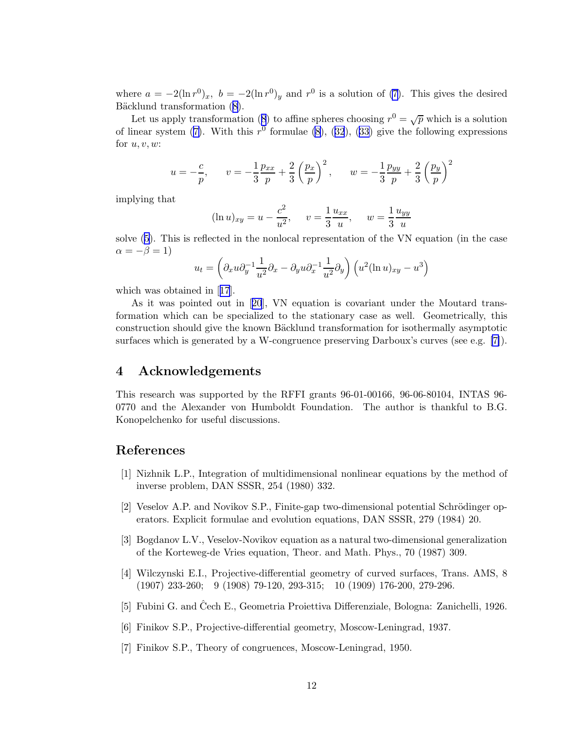<span id="page-11-0"></span>where  $a = -2(\ln r^0)_x$ ,  $b = -2(\ln r^0)_y$  and  $r^0$  is a solution of [\(7\)](#page-2-0). This gives the desired Bäcklundtransformation  $(8)$  $(8)$  $(8)$ .

Letus apply transformation ([8](#page-2-0)) to affine spheres choosing  $r^0 = \sqrt{p}$  which is a solution of linear system [\(7\)](#page-2-0).With this  $r^0$  formulae [\(8\)](#page-2-0), ([32](#page-8-0)), [\(33\)](#page-8-0) give the following expressions for  $u, v, w$ :

$$
u = -\frac{c}{p}
$$
,  $v = -\frac{1}{3}\frac{p_{xx}}{p} + \frac{2}{3}\left(\frac{p_x}{p}\right)^2$ ,  $w = -\frac{1}{3}\frac{p_{yy}}{p} + \frac{2}{3}\left(\frac{p_y}{p}\right)^2$ 

implying that

$$
(\ln u)_{xy} = u - \frac{c^2}{u^2}, \quad v = \frac{1}{3} \frac{u_{xx}}{u}, \quad w = \frac{1}{3} \frac{u_{yy}}{u}
$$

solve([5](#page-1-0)). This is reflected in the nonlocal representation of the VN equation (in the case  $\alpha = -\beta = 1$ 

$$
u_t = \left(\partial_x u \partial_y^{-1} \frac{1}{u^2} \partial_x - \partial_y u \partial_x^{-1} \frac{1}{u^2} \partial_y\right) \left(u^2 (\ln u)_{xy} - u^3\right)
$$

which was obtained in[[17](#page-12-0)].

As it was pointed out in[[20](#page-12-0)], VN equation is covariant under the Moutard transformation which can be specialized to the stationary case as well. Geometrically, this construction should give the known Bäcklund transformation for isothermally asymptotic surfaces which is generated by a W-congruence preserving Darboux's curves (see e.g. [7]).

### 4 Acknowledgements

This research was supported by the RFFI grants 96-01-00166, 96-06-80104, INTAS 96- 0770 and the Alexander von Humboldt Foundation. The author is thankful to B.G. Konopelchenko for useful discussions.

### References

- [1] Nizhnik L.P., Integration of multidimensional nonlinear equations by the method of inverse problem, DAN SSSR, 254 (1980) 332.
- [2] Veselov A.P. and Novikov S.P., Finite-gap two-dimensional potential Schrödinger operators. Explicit formulae and evolution equations, DAN SSSR, 279 (1984) 20.
- [3] Bogdanov L.V., Veselov-Novikov equation as a natural two-dimensional generalization of the Korteweg-de Vries equation, Theor. and Math. Phys., 70 (1987) 309.
- [4] Wilczynski E.I., Projective-differential geometry of curved surfaces, Trans. AMS, 8 (1907) 233-260; 9 (1908) 79-120, 293-315; 10 (1909) 176-200, 279-296.
- [5] Fubini G. and Čech E., Geometria Proiettiva Differenziale, Bologna: Zanichelli, 1926.
- [6] Finikov S.P., Projective-differential geometry, Moscow-Leningrad, 1937.
- [7] Finikov S.P., Theory of congruences, Moscow-Leningrad, 1950.